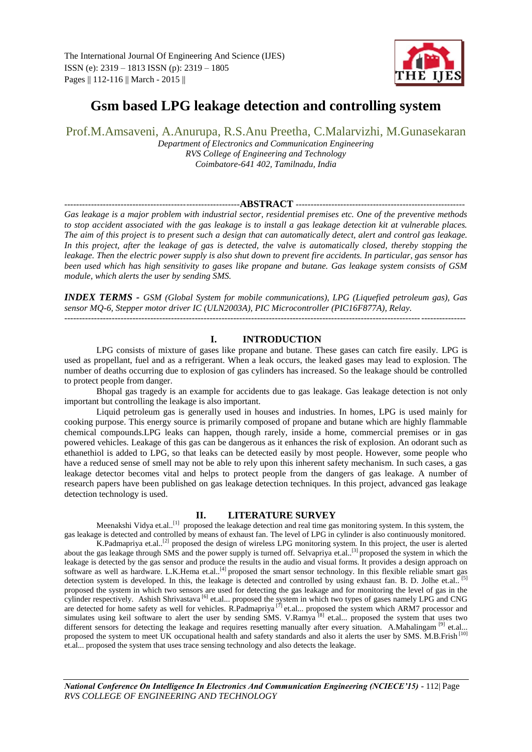

# **Gsm based LPG leakage detection and controlling system**

Prof.M.Amsaveni, A.Anurupa, R.S.Anu Preetha, C.Malarvizhi, M.Gunasekaran

*Department of Electronics and Communication Engineering RVS College of Engineering and Technology Coimbatore-641 402, Tamilnadu, India*

# -----------------------------------------------------------**ABSTRACT** ---------------------------------------------------------

*Gas leakage is a major problem with industrial sector, residential premises etc. One of the preventive methods to stop accident associated with the gas leakage is to install a gas leakage detection kit at vulnerable places. The aim of this project is to present such a design that can automatically detect, alert and control gas leakage.*  In this project, after the leakage of gas is detected, the valve is automatically closed, thereby stopping the *leakage. Then the electric power supply is also shut down to prevent fire accidents. In particular, gas sensor has been used which has high sensitivity to gases like propane and butane. Gas leakage system consists of GSM module, which alerts the user by sending SMS.*

*INDEX TERMS - GSM (Global System for mobile communications), LPG (Liquefied petroleum gas), Gas sensor MQ-6, Stepper motor driver IC (ULN2003A), PIC Microcontroller (PIC16F877A), Relay.*

---------------------------------------------------------------------------------------------------------------------------------------

# **I. INTRODUCTION**

LPG consists of mixture of gases like propane and butane. These gases can catch fire easily. LPG is used as propellant, fuel and as a refrigerant. When a leak occurs, the leaked gases may lead to explosion. The number of deaths occurring due to explosion of gas cylinders has increased. So the leakage should be controlled to protect people from danger.

Bhopal gas tragedy is an example for accidents due to gas leakage. Gas leakage detection is not only important but controlling the leakage is also important.

Liquid petroleum gas is generally used in houses and industries. In homes, LPG is used mainly for cooking purpose. This energy source is primarily composed of propane and butane which are highly flammable chemical compounds.LPG leaks can happen, though rarely, inside a home, commercial premises or in gas powered vehicles. Leakage of this gas can be dangerous as it enhances the risk of explosion. An odorant such as ethanethiol is added to LPG, so that leaks can be detected easily by most people. However, some people who have a reduced sense of smell may not be able to rely upon this inherent safety mechanism. In such cases, a gas leakage detector becomes vital and helps to protect people from the dangers of gas leakage. A number of research papers have been published on gas leakage detection techniques. In this project, advanced gas leakage detection technology is used.

# **II. LITERATURE SURVEY**

Meenakshi Vidya et.al..<sup>[1]</sup> proposed the leakage detection and real time gas monitoring system. In this system, the gas leakage is detected and controlled by means of exhaust fan. The level of LPG in cylinder is also continuously monitored.

K.Padmapriya et.al..[2] proposed the design of wireless LPG monitoring system. In this project, the user is alerted about the gas leakage through SMS and the power supply is turned off. Selvapriya et.al..<sup>[3]</sup> proposed the system in which the leakage is detected by the gas sensor and produce the results in the audio and visual forms. It provides a design approach on software as well as hardware. L.K.Hema et.al..<sup>[4]</sup> proposed the smart sensor technology. In this flexible reliable smart gas detection system is developed. In this, the leakage is detected and controlled by using exhaust fan. B. D. Jolhe et.al.. [5] proposed the system in which two sensors are used for detecting the gas leakage and for monitoring the level of gas in the cylinder respectively. Ashish Shrivastava<sup>[6]</sup> et.al... proposed the system in which two types of gases namely LPG and CNG are detected for home safety as well for vehicles. R.Padmapriya<sup>[7]</sup> et.al... proposed the system which ARM7 processor and simulates using keil software to alert the user by sending SMS. V.Ramya  $^{[8]}$  et.al... proposed the system that uses two different sensors for detecting the leakage and requires resetting manually after every situation. A.Mahalingam  $[9]$  et.al... proposed the system to meet UK occupational health and safety standards and also it alerts the user by SMS. M.B.Frish [10] et.al... proposed the system that uses trace sensing technology and also detects the leakage.

*National Conference On Intelligence In Electronics And Communication Engineering (NCIECE'15) -* 112| Page *RVS COLLEGE OF ENGINEERING AND TECHNOLOGY*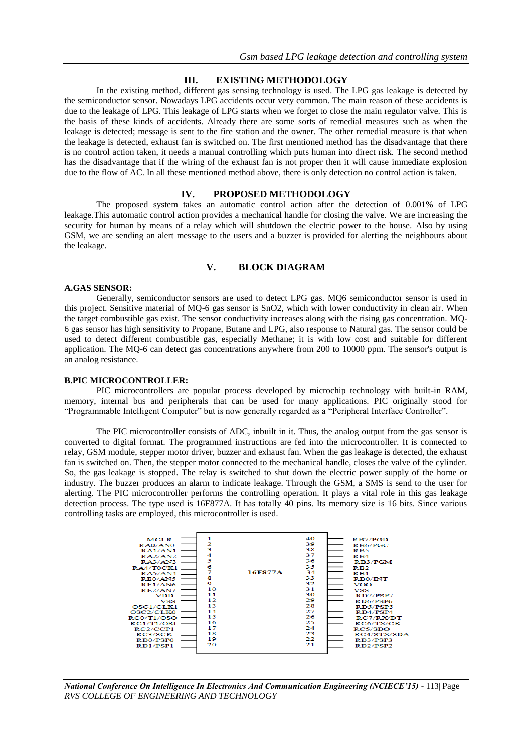### **III. EXISTING METHODOLOGY**

In the existing method, different gas sensing technology is used. The LPG gas leakage is detected by the semiconductor sensor. Nowadays LPG accidents occur very common. The main reason of these accidents is due to the leakage of LPG. This leakage of LPG starts when we forget to close the main regulator valve. This is the basis of these kinds of accidents. Already there are some sorts of remedial measures such as when the leakage is detected; message is sent to the fire station and the owner. The other remedial measure is that when the leakage is detected, exhaust fan is switched on. The first mentioned method has the disadvantage that there is no control action taken, it needs a manual controlling which puts human into direct risk. The second method has the disadvantage that if the wiring of the exhaust fan is not proper then it will cause immediate explosion due to the flow of AC. In all these mentioned method above, there is only detection no control action is taken.

#### **IV. PROPOSED METHODOLOGY**

The proposed system takes an automatic control action after the detection of 0.001% of LPG leakage.This automatic control action provides a mechanical handle for closing the valve. We are increasing the security for human by means of a relay which will shutdown the electric power to the house. Also by using GSM, we are sending an alert message to the users and a buzzer is provided for alerting the neighbours about the leakage.

# **V. BLOCK DIAGRAM**

#### **A.GAS SENSOR:**

Generally, semiconductor sensors are used to detect LPG gas. MQ6 semiconductor sensor is used in this project. Sensitive material of MQ-6 gas sensor is SnO2, which with lower conductivity in clean air. When the target combustible gas exist. The sensor conductivity increases along with the rising gas concentration. MQ-6 gas sensor has high sensitivity to Propane, Butane and LPG, also response to Natural gas. The sensor could be used to detect different combustible gas, especially Methane; it is with low cost and suitable for different application. The MQ-6 can detect gas concentrations anywhere from 200 to 10000 ppm. The sensor's output is an analog resistance.

#### **B.PIC MICROCONTROLLER:**

PIC microcontrollers are popular process developed by microchip technology with built-in RAM, memory, internal bus and peripherals that can be used for many applications. PIC originally stood for "Programmable Intelligent Computer" but is now generally regarded as a "Peripheral Interface Controller".

The PIC microcontroller consists of ADC, inbuilt in it. Thus, the analog output from the gas sensor is converted to digital format. The programmed instructions are fed into the microcontroller. It is connected to relay, GSM module, stepper motor driver, buzzer and exhaust fan. When the gas leakage is detected, the exhaust fan is switched on. Then, the stepper motor connected to the mechanical handle, closes the valve of the cylinder. So, the gas leakage is stopped. The relay is switched to shut down the electric power supply of the home or industry. The buzzer produces an alarm to indicate leakage. Through the GSM, a SMS is send to the user for alerting. The PIC microcontroller performs the controlling operation. It plays a vital role in this gas leakage detection process. The type used is 16F877A. It has totally 40 pins. Its memory size is 16 bits. Since various controlling tasks are employed, this microcontroller is used.

| <b>MCLR</b><br>RAO/ANO<br>RA1/AN1<br>RA2/AN2<br>RA3/AN3<br>RA4/T0CK1<br>RA5/AN4<br>RE0/AN5<br>R E1/A N6<br>$R$ E2/AN7<br>VDD<br>VSS<br>OSC1/CLK1<br>OSC2/CLK0<br>RC0/T1/OSO<br>RC1/T1/OSI<br>RC2/CCP1<br>RC3/SCK<br>RD0/PSP0<br>RD1/PSP1 | з<br>4<br>5<br>6<br>7<br>s<br>9<br>10<br>11<br>12<br>13<br>14<br>15<br>16<br>17<br>18<br>19<br>20 | 16F877A | 40<br>39<br>38<br>37<br>36<br>35<br>34<br>33<br>32<br>31<br>30<br>29<br>28<br>27<br>26<br>25<br>24<br>23<br>22<br>21 | R <sub>B7</sub> /P <sub>GD</sub><br>RB6/PGC<br>RB <sub>5</sub><br>RB4<br>RB3/PGM<br>RB2<br>$R_{B1}$<br>R <sub>B0</sub> /INT<br>VOO.<br>$_{\rm VSS}$<br>RD7/PSP7<br>RD6/PSP6<br>RD5/PSP5<br>RD4/PSP4<br>RC7/RX/DT<br>RC6/TX/CK<br>RC5/SDO<br>RC4/STX/SDA<br>RD3/PSP3<br>RD <sub>2</sub> /PSP <sub>2</sub> |
|------------------------------------------------------------------------------------------------------------------------------------------------------------------------------------------------------------------------------------------|---------------------------------------------------------------------------------------------------|---------|----------------------------------------------------------------------------------------------------------------------|----------------------------------------------------------------------------------------------------------------------------------------------------------------------------------------------------------------------------------------------------------------------------------------------------------|
|                                                                                                                                                                                                                                          |                                                                                                   |         |                                                                                                                      |                                                                                                                                                                                                                                                                                                          |

*National Conference On Intelligence In Electronics And Communication Engineering (NCIECE'15) -* 113| Page *RVS COLLEGE OF ENGINEERING AND TECHNOLOGY*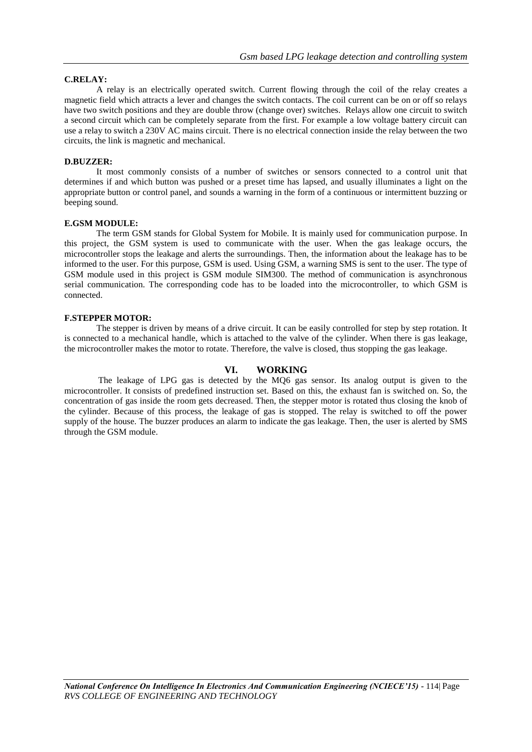### **C.RELAY:**

A relay is an electrically operated switch. Current flowing through the coil of the relay creates a magnetic field which attracts a lever and changes the switch contacts. The coil current can be on or off so relays have two switch positions and they are double throw (change over) switches. Relays allow one circuit to switch a second circuit which can be completely separate from the first. For example a low voltage battery circuit can use a relay to switch a 230V AC mains circuit. There is no electrical connection inside the relay between the two circuits, the link is magnetic and mechanical.

#### **D.BUZZER:**

It most commonly consists of a number of switches or sensors connected to a control unit that determines if and which button was pushed or a preset time has lapsed, and usually illuminates a light on the appropriate button or control panel, and sounds a warning in the form of a continuous or intermittent buzzing or beeping sound.

#### **E.GSM MODULE:**

The term GSM stands for Global System for Mobile. It is mainly used for communication purpose. In this project, the GSM system is used to communicate with the user. When the gas leakage occurs, the microcontroller stops the leakage and alerts the surroundings. Then, the information about the leakage has to be informed to the user. For this purpose, GSM is used. Using GSM, a warning SMS is sent to the user. The type of GSM module used in this project is GSM module SIM300. The method of communication is asynchronous serial communication. The corresponding code has to be loaded into the microcontroller, to which GSM is connected.

#### **F.STEPPER MOTOR:**

The stepper is driven by means of a drive circuit. It can be easily controlled for step by step rotation. It is connected to a mechanical handle, which is attached to the valve of the cylinder. When there is gas leakage, the microcontroller makes the motor to rotate. Therefore, the valve is closed, thus stopping the gas leakage.

# **VI. WORKING**

The leakage of LPG gas is detected by the MQ6 gas sensor. Its analog output is given to the microcontroller. It consists of predefined instruction set. Based on this, the exhaust fan is switched on. So, the concentration of gas inside the room gets decreased. Then, the stepper motor is rotated thus closing the knob of the cylinder. Because of this process, the leakage of gas is stopped. The relay is switched to off the power supply of the house. The buzzer produces an alarm to indicate the gas leakage. Then, the user is alerted by SMS through the GSM module.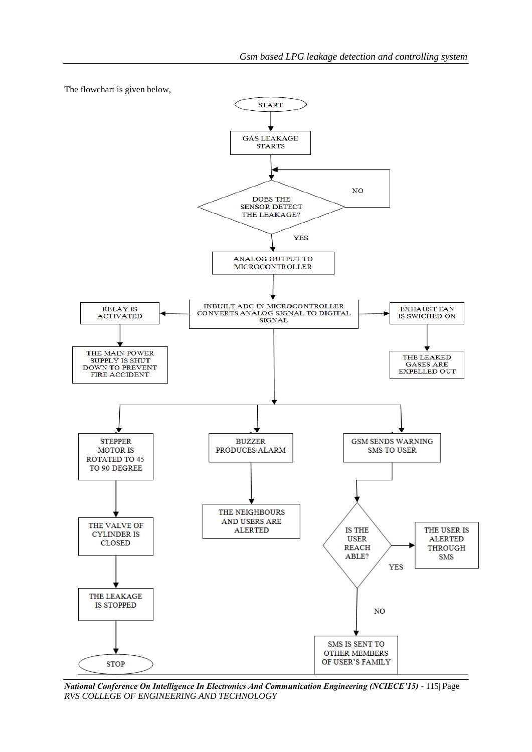



*National Conference On Intelligence In Electronics And Communication Engineering (NCIECE'15) -* 115| Page *RVS COLLEGE OF ENGINEERING AND TECHNOLOGY*